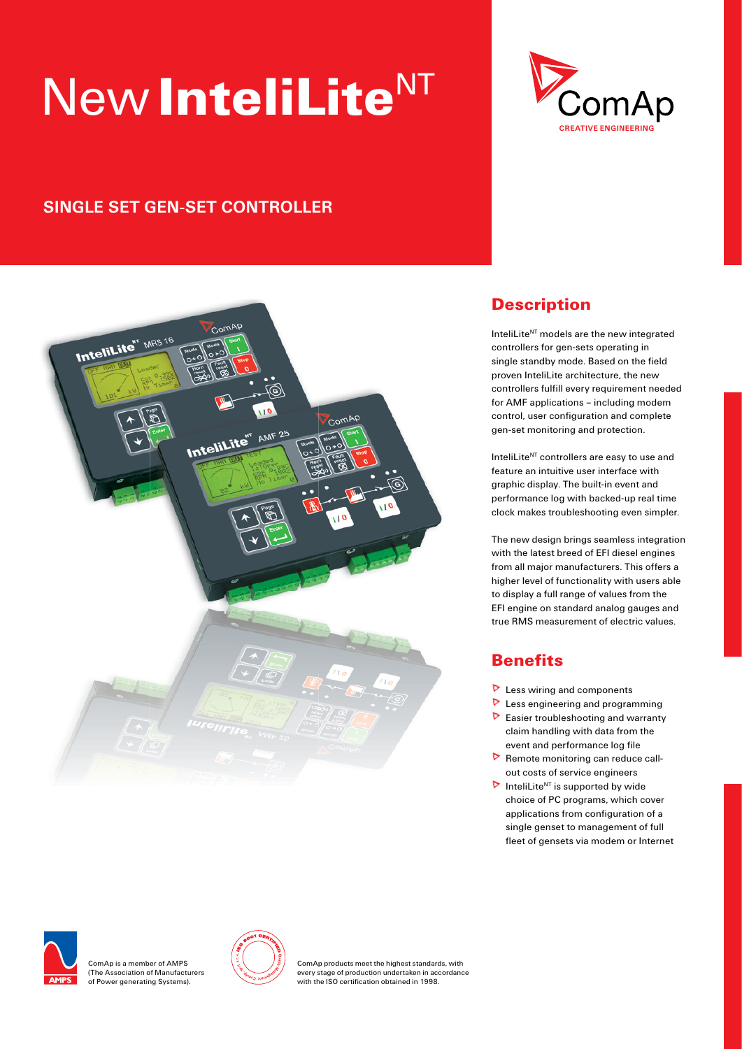# New InteliLite<sup>NT</sup>



## **SINGLE SET GEN-SET CONTROLLER**



### **Description**

InteliLite $N<sup>T</sup>$  models are the new integrated controllers for gen-sets operating in single standby mode. Based on the field proven InteliLite architecture, the new controllers fulfill every requirement needed for AMF applications – including modem control, user configuration and complete gen-set monitoring and protection.

InteliLite<sup>NT</sup> controllers are easy to use and feature an intuitive user interface with graphic display. The built-in event and performance log with backed-up real time clock makes troubleshooting even simpler.

The new design brings seamless integration with the latest breed of EFI diesel engines from all major manufacturers. This offers a higher level of functionality with users able to display a full range of values from the EFI engine on standard analog gauges and true RMS measurement of electric values.

### **Benefits**

- $\triangleright$  Less wiring and components
- **D** Less engineering and programming
- $\triangleright$  Easier troubleshooting and warranty claim handling with data from the event and performance log file
- $\triangleright$  Remote monitoring can reduce callout costs of service engineers
- InteliLite<sup>NT</sup> is supported by wide choice of PC programs, which cover applications from configuration of a single genset to management of full fleet of gensets via modem or Internet



ComAp is a member of AMPS (The Association of Manufacturers of Power generating Systems).



ComAp products meet the highest standards, with every stage of production undertaken in accordance with the ISO certification obtained in 1998.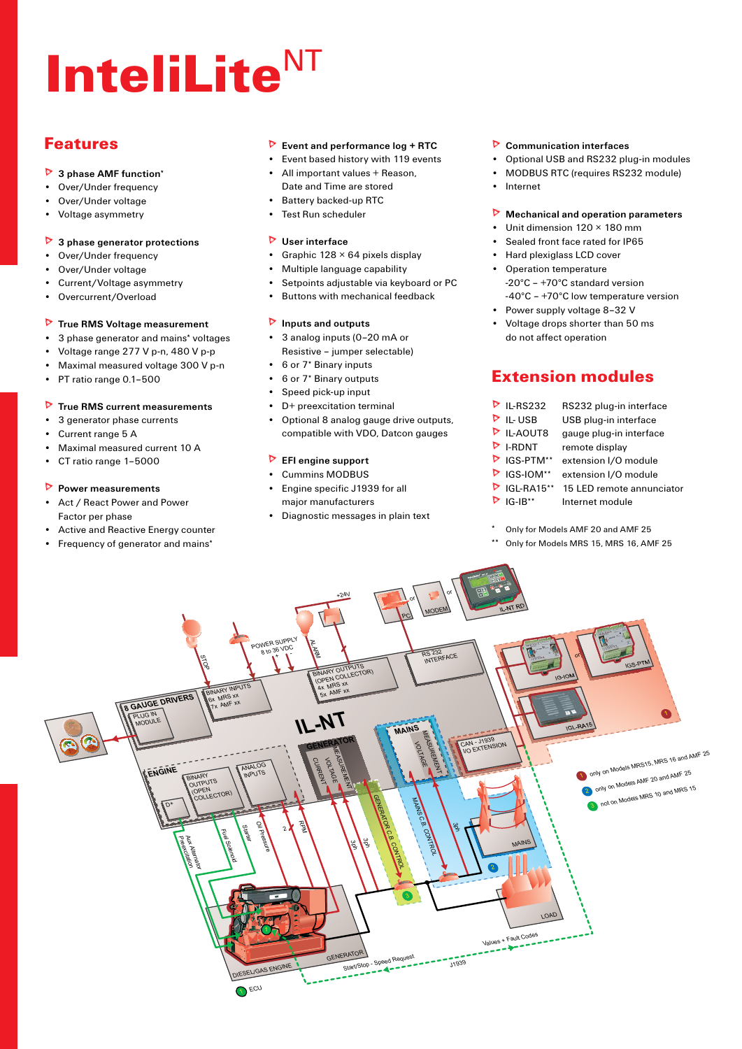# InteliLite<sup>NT</sup>

### Features

- **3 phase AMF function**\*
- Over/Under frequency •
- Over/Under voltage •
- Voltage asymmetry •

#### **3 phase generator protections**  $\triangleright$

- Over/Under frequency •
- Over/Under voltage •
- Current/Voltage asymmetry •
- Overcurrent/Overload •

#### **True RMS Voltage measurement**

- 3 phase generator and mains\* voltages •
- Voltage range 277 V p-n, 480 V p-p •
- Maximal measured voltage 300 V p-n •
- PT ratio range 0.1–500 •

#### **True RMS current measurements**  $\triangleright$

- 3 generator phase currents •
- Current range 5 A •
- Maximal measured current 10 A •
- CT ratio range 1–5000 •

#### **Power measurements**

- Act / React Power and Power Factor per phase •
- Active and Reactive Energy counter •
- Frequency of generator and mains\*

#### **Event and performance log + RTC**

- Event based history with 119 events
- All important values + Reason, Date and Time are stored
- Battery backed-up RTC
- Test Run scheduler •

#### **User interface**

- Graphic 128 × 64 pixels display
- Multiple language capability •
- Setpoints adjustable via keyboard or PC •
- Buttons with mechanical feedback •

#### **Inputs and outputs**

- 3 analog inputs (0-20 mA or Resistive – jumper selectable)
- 6 or 7\* Binary inputs
- 6 or 7\* Binary outputs •
- Speed pick-up input •
- D+ preexcitation terminal •
- Optional 8 analog gauge drive outputs, compatible with VDO, Datcon gauges •

#### **EFI engine support**

- Cummins MODBUS Engine specific J1939 for all major manufacturers •
- Diagnostic messages in plain text

#### **Communication interfaces**

- Optional USB and RS232 plug-in modules •
- MODBUS RTC (requires RS232 module) •
- Internet •

#### **Mechanical and operation parameters**  $\triangleright$

- Unit dimension 120 × 180 mm •
- Sealed front face rated for IP65 •
- Hard plexiglass LCD cover • Operation temperature
	- -20°C +70°C standard version -40°C – +70°C low temperature version
- Power supply voltage 8-32 V
- Voltage drops shorter than 50 ms do not affect operation •

### Extension modules

| $\triangleright$ IL-RS232  | RS232 plug-in interface   |
|----------------------------|---------------------------|
| IL-USB                     | USB plug-in interface     |
| $\triangleright$ IL-AOUT8  | gauge plug-in interface   |
| $\triangleright$ I-RDNT    | remote display            |
| $\triangleright$ IGS-PTM** | extension I/O module      |
| $\triangleright$ IGS-IOM** | extension I/O module      |
| $P$ IGL-RA15**             | 15 LED remote annunciator |
| $IG-IB**$                  | Internet module           |

- Only for Models AMF 20 and AMF 25
- Only for Models MRS 15, MRS 16, AMF 25

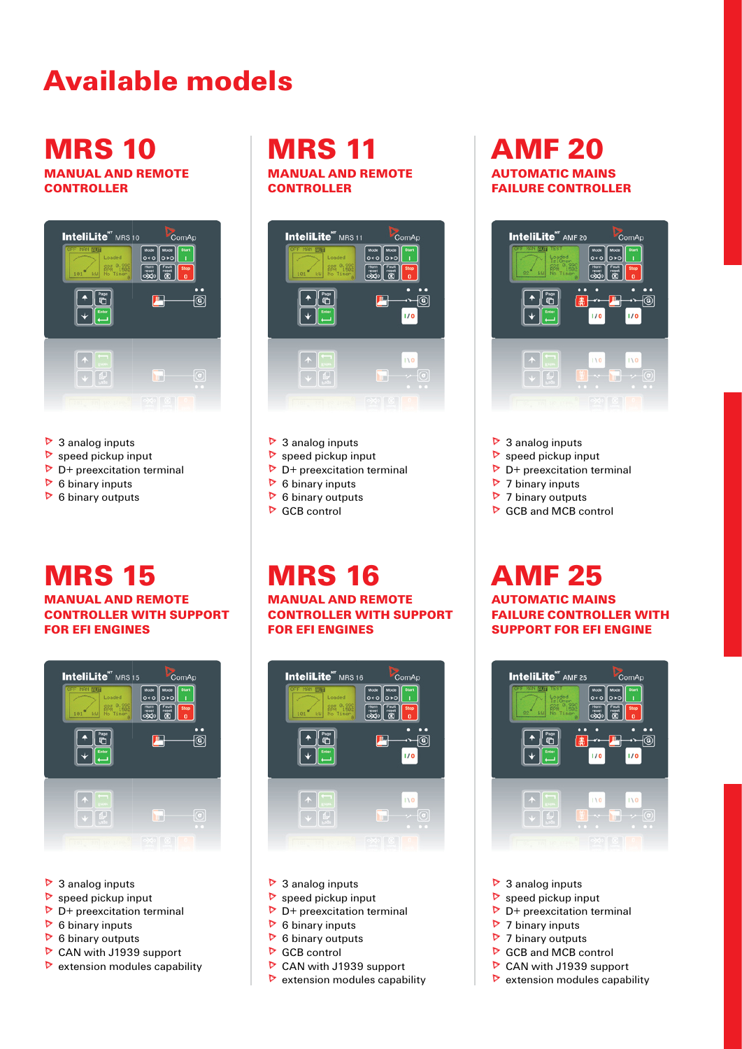# Available models

# **MRS 10**

MANUAL AND REMOTE **CONTROLLER** 



- ▶ 3 analog inputs
- speed pickup input  $\triangleright$
- D+ preexcitation terminal  $\triangleright$
- $\triangleright$  6 binary inputs
- $\triangleright$  6 binary outputs

# **MRS 15**

#### MANUAL AND REMOTE CONTROLLER WITH SUPPORT FOR EFI ENGINES



- ▶ 3 analog inputs
- speed pickup input  $\triangleright$
- D+ preexcitation terminal  $\triangleright$
- 6 binary inputs  $\triangleright$
- 6 binary outputs  $\triangleright$
- CAN with J1939 support  $\triangleright$
- $\triangleright$  extension modules capability

### **MRS 11** MANUAL AND REMOTE **CONTROLLER**



- ▶ 3 analog inputs
- speed pickup input  $\triangleright$  $\triangleright$
- D+ preexcitation terminal
- 6 binary inputs  $\triangleright$
- 

# **MRS 16**

MANUAL AND REMOTE CONTROLLER WITH SUPPORT FOR EFI ENGINES



- ▶ 3 analog inputs
- $\triangleright$  speed pickup input
- $\triangleright$  D+ preexcitation terminal
- $\triangleright$  6 binary inputs
- $\triangleright$  6 binary outputs
- GCB control
- CAN with J1939 support
- $\triangleright$  extension modules capability

## AMF 20 AUTOMATIC MAINS FAILURE CONTROLLER



- ▶ 3 analog inputs
- speed pickup input  $\triangleright$
- D+ preexcitation terminal  $\triangleright$
- 7 binary inputs D
- 7 binary outputs  $\triangleright$
- GCB and MCB control  $\triangleright$

# AMF 25

AUTOMATIC MAINS FAILURE CONTROLLER WITH SUPPORT FOR EFI ENGINE



- ▶ 3 analog inputs
- $\triangleright$  speed pickup input
- $\triangleright$  D+ preexcitation terminal
- 7 binary inputs ь
- 7 binary outputs  $\triangleright$
- GCB and MCB control  $\triangleright$
- CAN with J1939 support
- $\triangleright$  extension modules capability

 $\triangleright$  6 binary outputs GCB control